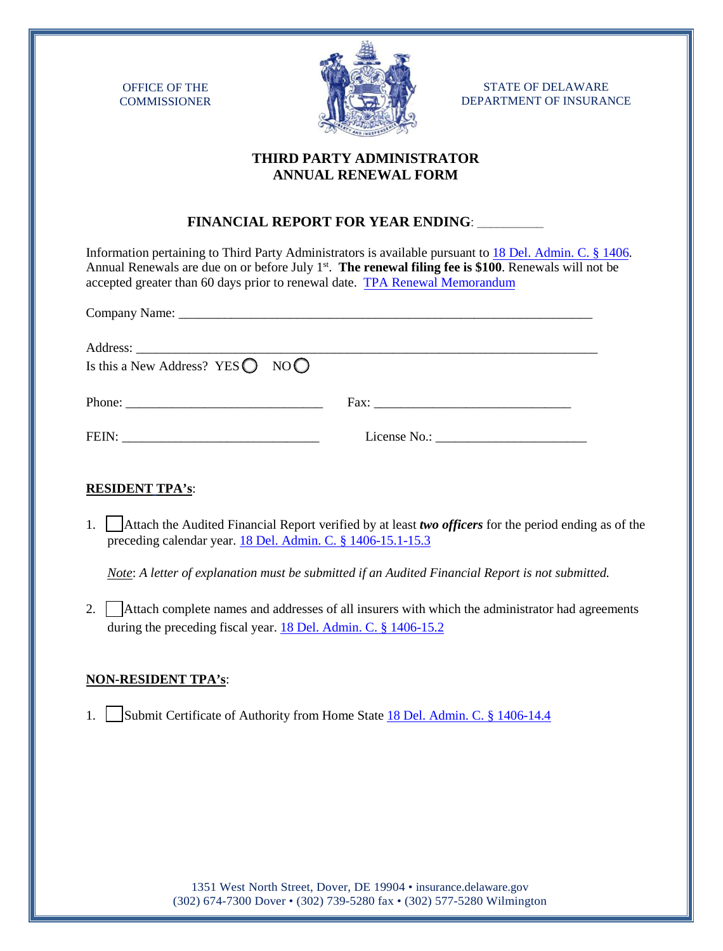OFFICE OF THE **COMMISSIONER** 



STATE OF DELAWARE DEPARTMENT OF INSURANCE

## **THIRD PARTY ADMINISTRATOR ANNUAL RENEWAL FORM**

## **FINANCIAL REPORT FOR YEAR ENDING**: **\_\_\_\_\_\_\_\_\_\_**

Information pertaining to Third Party Administrators is available pursuant to [18 Del. Admin. C. § 1406.](http://regulations.delaware.gov/AdminCode/title18/1400/1406.pdf) Annual Renewals are due on or before July 1<sup>st</sup>. The renewal filing fee is \$100. Renewals will not be accepted greater than 60 days prior to renewal date. TPA [Renewal Memorandum](https://insurance.delaware.gov/wp-content/uploads/sites/15/2020/05/TPA_memo_4.23.20.pdf)

| Is this a New Address? YES $\bigcirc$ NO $\bigcirc$ |  |
|-----------------------------------------------------|--|
|                                                     |  |
|                                                     |  |

## **RESIDENT TPA's**:

1. Attach the Audited Financial Report verified by at least *two officers* for the period ending as of the preceding calendar year. [18 Del. Admin. C. § 1406-15.1-15.3](https://regulations.delaware.gov/AdminCode/title18/1400/1406.pdf)

*Note*: *A letter of explanation must be submitted if an Audited Financial Report is not submitted.*

2. Attach complete names and addresses of all insurers with which the administrator had agreements during the preceding fiscal year. [18 Del. Admin. C. § 1406-15.2](https://regulations.delaware.gov/AdminCode/title18/1400/1406.pdf)

# **NON-RESIDENT TPA's**:

1. Submit Certificate of Authority from Home State [18 Del. Admin. C. § 1406-14.4](https://regulations.delaware.gov/AdminCode/title18/1400/1406.pdf)